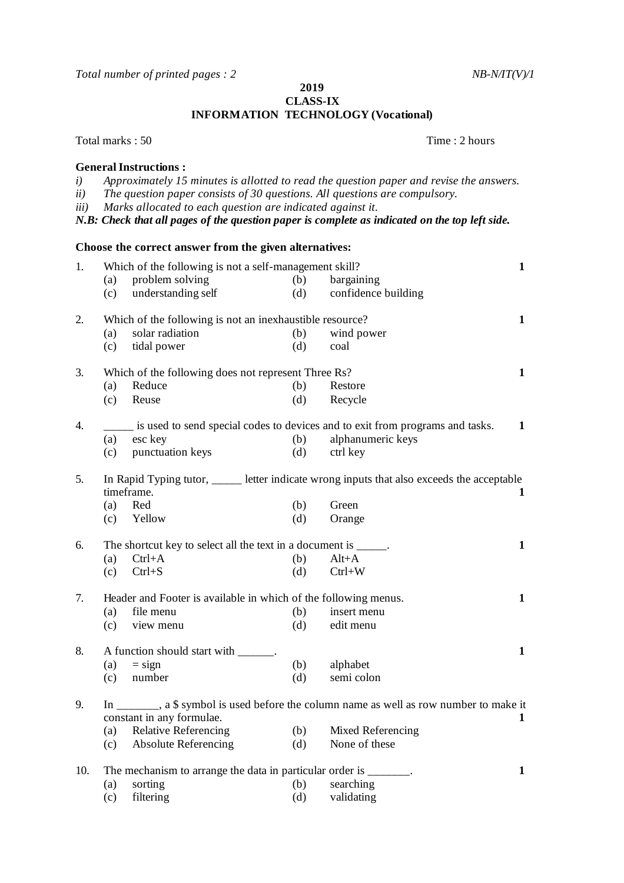*Total number of printed pages : 2 NB-N/IT(V)/1* 

**2019**

**CLASS-IX INFORMATION TECHNOLOGY (Vocational)**

Total marks : 50 Time : 2 hours **General Instructions :** *i) Approximately 15 minutes is allotted to read the question paper and revise the answers. ii) The question paper consists of 30 questions. All questions are compulsory. iii) Marks allocated to each question are indicated against it. N.B: Check that all pages of the question paper is complete as indicated on the top left side.* **Choose the correct answer from the given alternatives:** 1. Which of the following is not a self-management skill? **1** (a) problem solving (b) bargaining<br>
(c) understanding self (d) confidence (c) understanding self (d) confidence building 2. Which of the following is not an inexhaustible resource? **1** (a) solar radiation (b) wind power (c) tidal power (d) coal 3. Which of the following does not represent Three Rs? **1** (a) Reduce (b) Restore (c) Reuse (d) Recycle 4. \_\_\_\_\_ is used to send special codes to devices and to exit from programs and tasks. **1** (a) esc key (b) alphanumeric keys (c) punctuation keys (d) ctrl key 5. In Rapid Typing tutor, letter indicate wrong inputs that also exceeds the acceptable timeframe. **1** (a) Red (b) Green (c) Yellow (d) Orange 6. The shortcut key to select all the text in a document is \_\_\_\_\_. **1** (a)  $Ctrl+A$  (b)  $Alt+A$ (c)  $Ctrl + S$  (d)  $Ctrl + W$ 7. Header and Footer is available in which of the following menus.<br>(a) file menu (b) insert menu (a) file menu (b) (c) view menu (d) edit menu 8. A function should start with \_\_\_\_\_\_. **1** (a)  $=$  sign (b) alphabet (c) number (d) semi colon 9. In \_\_\_\_\_\_\_, a \$ symbol is used before the column name as well as row number to make it constant in any formulae.<br>
(a) Relative Referencing (b) Mixed Referencing 1 (a) Relative Referencing  $(b)$ (c) Absolute Referencing (d) None of these 10. The mechanism to arrange the data in particular order is  $\qquad \qquad$  **1** (a) sorting (b) searching (c) filtering (d) validating